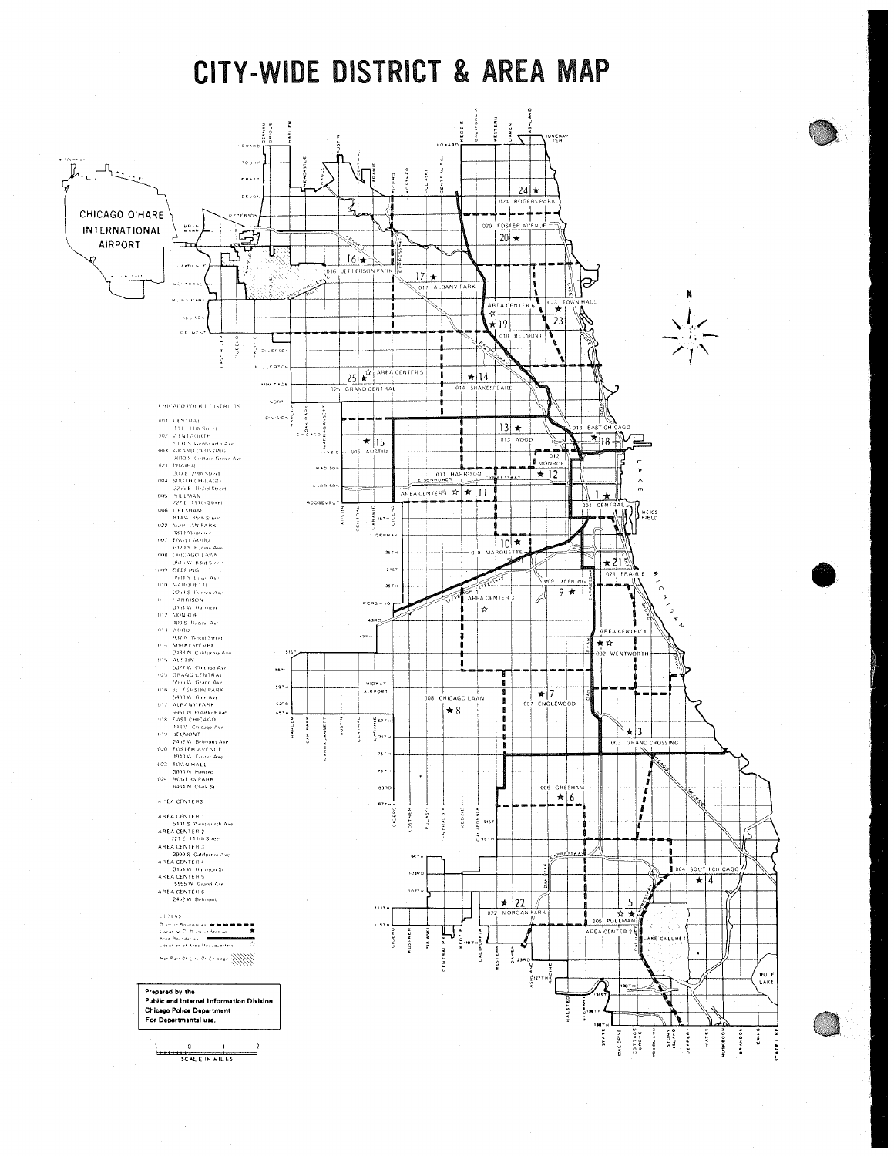CITY-WIDE DISTRICT & AREA MAP